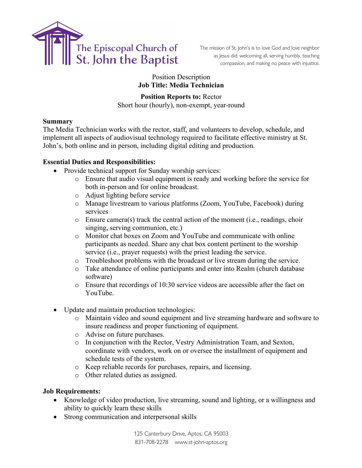

The mission of St. John's is to love God and love neighbor as Jesus did: welcoming all, serving humbly, teaching compassion, and making no peace with injustice.

Position Description **Job Title: Media Technician**

**Position Reports to:** Rector Short hour (hourly), non-exempt, year-round

### **Summary**

The Media Technician works with the rector, staff, and volunteers to develop, schedule, and implement all aspects of audiovisual technology required to facilitate effective ministry at St. John's, both online and in person, including digital editing and production.

# **Essential Duties and Responsibilities:**

- Provide technical support for Sunday worship services:
	- o Ensure that audio visual equipment is ready and working before the service for both in-person and for online broadcast.
	- o Adjust lighting before service
	- o Manage livestream to various platforms (Zoom, YouTube, Facebook) during services
	- o Ensure camera(s) track the central action of the moment (i.e., readings, choir singing, serving communion, etc.)
	- o Monitor chat boxes on Zoom and YouTube and communicate with online participants as needed. Share any chat box content pertinent to the worship service (i.e., prayer requests) with the priest leading the service.
	- o Troubleshoot problems with the broadcast or live stream during the service.
	- o Take attendance of online participants and enter into Realm (church database software)
	- o Ensure that recordings of 10:30 service videos are accessible after the fact on YouTube.
- Update and maintain production technologies:
	- o Maintain video and sound equipment and live streaming hardware and software to insure readiness and proper functioning of equipment.
	- o Advise on future purchases.
	- o In conjunction with the Rector, Vestry Administration Team, and Sexton, coordinate with vendors, work on or oversee the installment of equipment and schedule tests of the system.
	- o Keep reliable records for purchases, repairs, and licensing.
	- o Other related duties as assigned.

#### **Job Requirements:**

- Knowledge of video production, live streaming, sound and lighting, or a willingness and ability to quickly learn these skills
- Strong communication and interpersonal skills